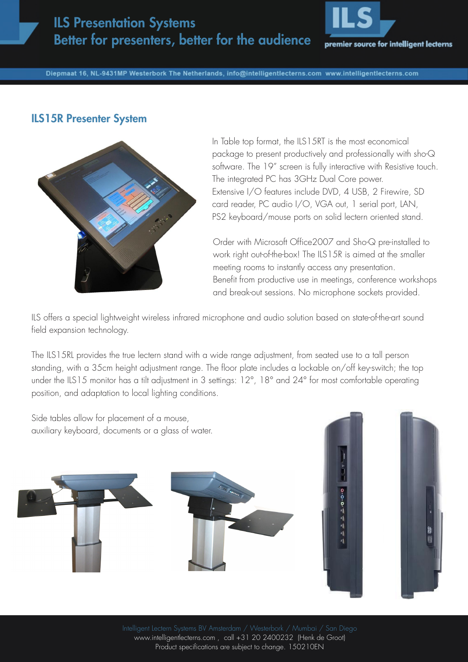## ILS Presentation Systems Better for presenters, better for the audience



Diepmaat 16, NL-9431MP Westerbork The Netherlands, info@intelligentlecterns.com www.intelligentlecterns.com

## ILS15R Presenter System



In Table top format, the ILS15RT is the most economical package to present productively and professionally with sho-Q software. The 19" screen is fully interactive with Resistive touch. The integrated PC has 3GHz Dual Core power. Extensive I/O features include DVD, 4 USB, 2 Firewire, SD card reader, PC audio I/O, VGA out, 1 serial port, LAN, PS2 keyboard/mouse ports on solid lectern oriented stand.

Order with Microsoft Office2007 and Sho-Q pre-installed to work right out-of-the-box! The ILS15R is aimed at the smaller meeting rooms to instantly access any presentation. Benefit from productive use in meetings, conference workshops and break-out sessions. No microphone sockets provided.

ILS offers a special lightweight wireless infrared microphone and audio solution based on state-of-the-art sound field expansion technology.

The ILS15RL provides the true lectern stand with a wide range adjustment, from seated use to a tall person standing, with a 35cm height adjustment range. The floor plate includes a lockable on/off key-switch; the top under the ILS15 monitor has a tilt adjustment in 3 settings: 12°, 18° and 24° for most comfortable operating position, and adaptation to local lighting conditions.



www.intelligentlecterns.com , call +31 20 2400232 (Henk de Groot) Product specifications are subject to change. 150210EN